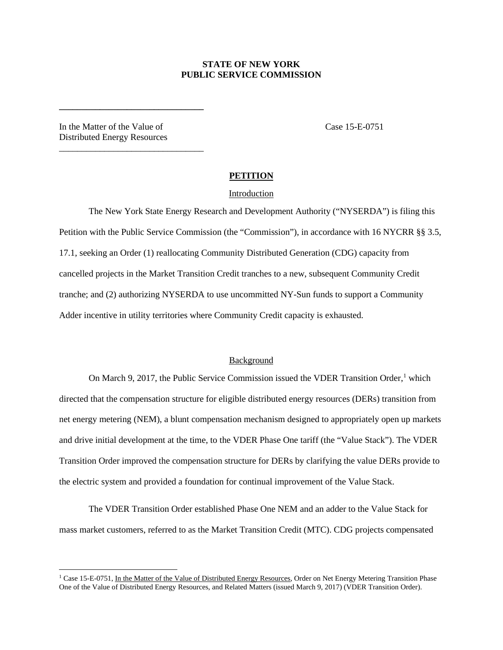## **STATE OF NEW YORK PUBLIC SERVICE COMMISSION**

In the Matter of the Value of Case 15-E-0751 Distributed Energy Resources

**\_\_\_\_\_\_\_\_\_\_\_\_\_\_\_\_\_\_\_\_\_\_\_\_\_\_\_\_\_\_\_\_**

\_\_\_\_\_\_\_\_\_\_\_\_\_\_\_\_\_\_\_\_\_\_\_\_\_\_\_\_\_\_\_\_

## **PETITION**

#### Introduction

The New York State Energy Research and Development Authority ("NYSERDA") is filing this Petition with the Public Service Commission (the "Commission"), in accordance with 16 NYCRR §§ 3.5, 17.1, seeking an Order (1) reallocating Community Distributed Generation (CDG) capacity from cancelled projects in the Market Transition Credit tranches to a new, subsequent Community Credit tranche; and (2) authorizing NYSERDA to use uncommitted NY-Sun funds to support a Community Adder incentive in utility territories where Community Credit capacity is exhausted.

#### Background

On March 9, 20[1](#page-0-0)7, the Public Service Commission issued the VDER Transition Order,<sup>1</sup> which directed that the compensation structure for eligible distributed energy resources (DERs) transition from net energy metering (NEM), a blunt compensation mechanism designed to appropriately open up markets and drive initial development at the time, to the VDER Phase One tariff (the "Value Stack"). The VDER Transition Order improved the compensation structure for DERs by clarifying the value DERs provide to the electric system and provided a foundation for continual improvement of the Value Stack.

The VDER Transition Order established Phase One NEM and an adder to the Value Stack for mass market customers, referred to as the Market Transition Credit (MTC). CDG projects compensated

<span id="page-0-0"></span><sup>&</sup>lt;sup>1</sup> Case 15-E-0751, In the Matter of the Value of Distributed Energy Resources, Order on Net Energy Metering Transition Phase One of the Value of Distributed Energy Resources, and Related Matters (issued March 9, 2017) (VDER Transition Order).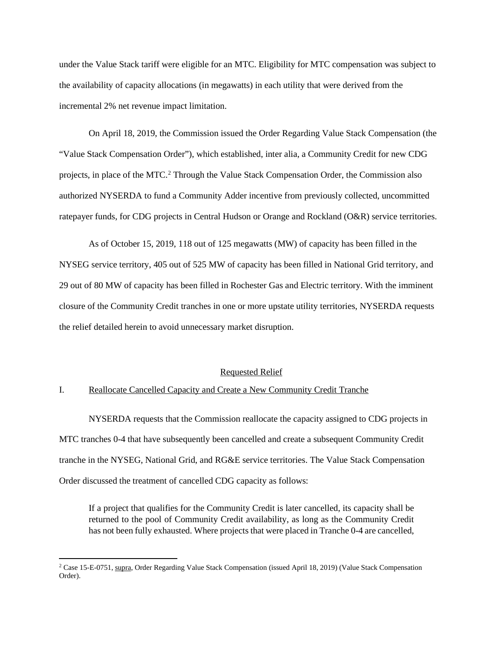under the Value Stack tariff were eligible for an MTC. Eligibility for MTC compensation was subject to the availability of capacity allocations (in megawatts) in each utility that were derived from the incremental 2% net revenue impact limitation.

On April 18, 2019, the Commission issued the Order Regarding Value Stack Compensation (the "Value Stack Compensation Order"), which established, inter alia, a Community Credit for new CDG projects, in place of the MTC. [2](#page-1-0) Through the Value Stack Compensation Order, the Commission also authorized NYSERDA to fund a Community Adder incentive from previously collected, uncommitted ratepayer funds, for CDG projects in Central Hudson or Orange and Rockland (O&R) service territories.

As of October 15, 2019, 118 out of 125 megawatts (MW) of capacity has been filled in the NYSEG service territory, 405 out of 525 MW of capacity has been filled in National Grid territory, and 29 out of 80 MW of capacity has been filled in Rochester Gas and Electric territory. With the imminent closure of the Community Credit tranches in one or more upstate utility territories, NYSERDA requests the relief detailed herein to avoid unnecessary market disruption.

#### Requested Relief

### I. Reallocate Cancelled Capacity and Create a New Community Credit Tranche

NYSERDA requests that the Commission reallocate the capacity assigned to CDG projects in MTC tranches 0-4 that have subsequently been cancelled and create a subsequent Community Credit tranche in the NYSEG, National Grid, and RG&E service territories. The Value Stack Compensation Order discussed the treatment of cancelled CDG capacity as follows:

If a project that qualifies for the Community Credit is later cancelled, its capacity shall be returned to the pool of Community Credit availability, as long as the Community Credit has not been fully exhausted. Where projects that were placed in Tranche 0-4 are cancelled,

<span id="page-1-0"></span><sup>2</sup> Case 15-E-0751, supra, Order Regarding Value Stack Compensation (issued April 18, 2019) (Value Stack Compensation Order).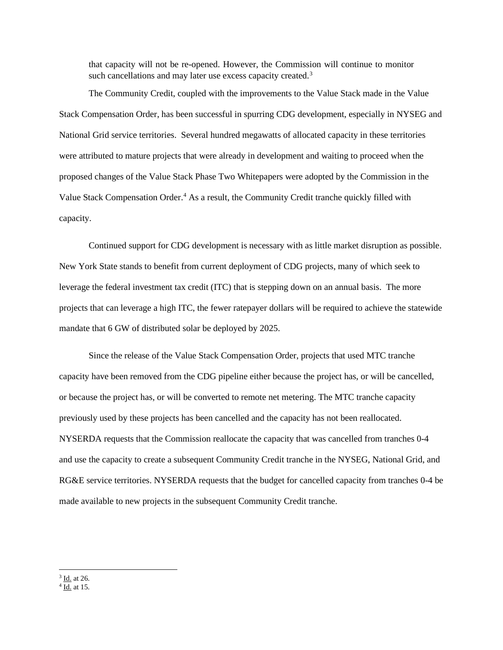that capacity will not be re-opened. However, the Commission will continue to monitor such cancellations and may later use excess capacity created.<sup>[3](#page-2-0)</sup>

The Community Credit, coupled with the improvements to the Value Stack made in the Value Stack Compensation Order, has been successful in spurring CDG development, especially in NYSEG and National Grid service territories. Several hundred megawatts of allocated capacity in these territories were attributed to mature projects that were already in development and waiting to proceed when the proposed changes of the Value Stack Phase Two Whitepapers were adopted by the Commission in the Value Stack Compensation Order.<sup>4</sup> As a result, the Community Credit tranche quickly filled with capacity.

Continued support for CDG development is necessary with as little market disruption as possible. New York State stands to benefit from current deployment of CDG projects, many of which seek to leverage the federal investment tax credit (ITC) that is stepping down on an annual basis. The more projects that can leverage a high ITC, the fewer ratepayer dollars will be required to achieve the statewide mandate that 6 GW of distributed solar be deployed by 2025.

Since the release of the Value Stack Compensation Order, projects that used MTC tranche capacity have been removed from the CDG pipeline either because the project has, or will be cancelled, or because the project has, or will be converted to remote net metering. The MTC tranche capacity previously used by these projects has been cancelled and the capacity has not been reallocated. NYSERDA requests that the Commission reallocate the capacity that was cancelled from tranches 0-4 and use the capacity to create a subsequent Community Credit tranche in the NYSEG, National Grid, and RG&E service territories. NYSERDA requests that the budget for cancelled capacity from tranches 0-4 be made available to new projects in the subsequent Community Credit tranche.

<span id="page-2-0"></span> $\frac{3}{4}$  <u>Id.</u> at 26.  $\frac{4}{10}$  at 15.

<span id="page-2-1"></span>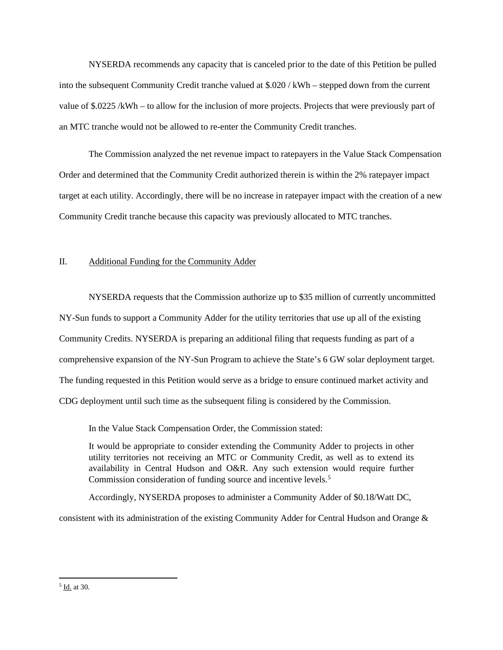NYSERDA recommends any capacity that is canceled prior to the date of this Petition be pulled into the subsequent Community Credit tranche valued at \$.020 / kWh – stepped down from the current value of \$.0225 /kWh – to allow for the inclusion of more projects. Projects that were previously part of an MTC tranche would not be allowed to re-enter the Community Credit tranches.

The Commission analyzed the net revenue impact to ratepayers in the Value Stack Compensation Order and determined that the Community Credit authorized therein is within the 2% ratepayer impact target at each utility. Accordingly, there will be no increase in ratepayer impact with the creation of a new Community Credit tranche because this capacity was previously allocated to MTC tranches.

## II. Additional Funding for the Community Adder

NYSERDA requests that the Commission authorize up to \$35 million of currently uncommitted NY-Sun funds to support a Community Adder for the utility territories that use up all of the existing Community Credits. NYSERDA is preparing an additional filing that requests funding as part of a comprehensive expansion of the NY-Sun Program to achieve the State's 6 GW solar deployment target. The funding requested in this Petition would serve as a bridge to ensure continued market activity and CDG deployment until such time as the subsequent filing is considered by the Commission.

In the Value Stack Compensation Order, the Commission stated:

It would be appropriate to consider extending the Community Adder to projects in other utility territories not receiving an MTC or Community Credit, as well as to extend its availability in Central Hudson and O&R. Any such extension would require further Commission consideration of funding source and incentive levels.<sup>[5](#page-3-0)</sup>

Accordingly, NYSERDA proposes to administer a Community Adder of \$0.18/Watt DC,

consistent with its administration of the existing Community Adder for Central Hudson and Orange &

<span id="page-3-0"></span> $<sup>5</sup>$  <u>Id.</u> at 30.</sup>